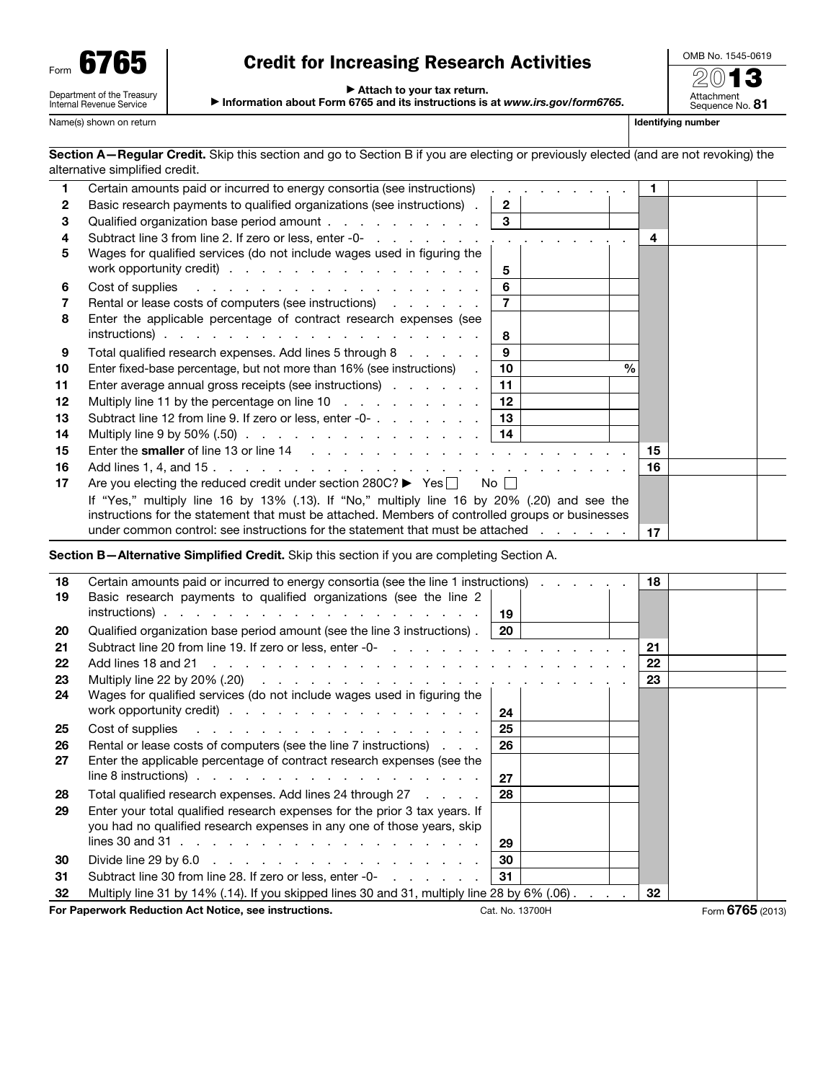| Form |                                                        |
|------|--------------------------------------------------------|
|      | Department of the Treasury<br>Internal Revenue Service |

# Credit for Increasing Research Activities

▶ Attach to your tax return.

▶ Information about Form 6765 and its instructions is at *www.irs.gov/form6765*.

OMB No. 1545-0619

20**13**<br>Attachment<br>Sequence No. 81

Name(s) shown on return in the state of the state of the state of the state of the state of the state of the state of the state of the state of the state of the state of the state of the state of the state of the state of

Section A-Regular Credit. Skip this section and go to Section B if you are electing or previously elected (and are not revoking) the alternative simplified credit.

|                 | Certain amounts paid or incurred to energy consortia (see instructions)                                         |                 | . |               |    |  |
|-----------------|-----------------------------------------------------------------------------------------------------------------|-----------------|---|---------------|----|--|
| 2               | Basic research payments to qualified organizations (see instructions).                                          | $\overline{2}$  |   |               |    |  |
| 3               | Qualified organization base period amount                                                                       | $\mathbf{3}$    |   |               |    |  |
| 4               |                                                                                                                 |                 |   |               | 4  |  |
| 5               | Wages for qualified services (do not include wages used in figuring the                                         |                 |   |               |    |  |
|                 | work opportunity credit)                                                                                        | 5               |   |               |    |  |
| 6               | Cost of supplies research and contact the contact of supplies                                                   | 6               |   |               |    |  |
|                 | Rental or lease costs of computers (see instructions)                                                           | $\overline{7}$  |   |               |    |  |
| 8               | Enter the applicable percentage of contract research expenses (see                                              |                 |   |               |    |  |
|                 |                                                                                                                 | 8               |   |               |    |  |
| 9               | Total qualified research expenses. Add lines 5 through 8                                                        | 9               |   |               |    |  |
| 10              | Enter fixed-base percentage, but not more than 16% (see instructions).                                          | 10              |   | $\frac{0}{0}$ |    |  |
| 11              | Enter average annual gross receipts (see instructions)                                                          | 11              |   |               |    |  |
| 12 <sub>2</sub> | Multiply line 11 by the percentage on line 10                                                                   | 12 <sup>°</sup> |   |               |    |  |
| 13              |                                                                                                                 |                 |   |               |    |  |
| 14              | Multiply line 9 by 50% (.50) $\ldots$ $\ldots$ $\ldots$ $\ldots$ $\ldots$ $\ldots$ $\ldots$   14                |                 |   |               |    |  |
| 15              |                                                                                                                 |                 |   |               | 15 |  |
| 16              |                                                                                                                 |                 |   |               | 16 |  |
| 17              | Are you electing the reduced credit under section $280C?$ $\blacktriangleright$ Yes $\Box$ No $\Box$            |                 |   |               |    |  |
|                 | If "Yes," multiply line 16 by 13% (.13). If "No," multiply line 16 by 20% (.20) and see the                     |                 |   |               |    |  |
|                 | instructions for the statement that must be attached. Members of controlled groups or businesses                |                 |   |               |    |  |
|                 | under common control: see instructions for the statement that must be attached exception of the common control: |                 |   |               | 17 |  |

Section B—Alternative Simplified Credit. Skip this section if you are completing Section A.

| 18 | Certain amounts paid or incurred to energy consortia (see the line 1 instructions) 18                                                                                                                                          |             |                 |    |                  |  |
|----|--------------------------------------------------------------------------------------------------------------------------------------------------------------------------------------------------------------------------------|-------------|-----------------|----|------------------|--|
| 19 | Basic research payments to qualified organizations (see the line 2                                                                                                                                                             | -19         |                 |    |                  |  |
| 20 | Qualified organization base period amount (see the line 3 instructions).                                                                                                                                                       | <b>20</b> I |                 |    |                  |  |
| 21 |                                                                                                                                                                                                                                |             |                 | 21 |                  |  |
| 22 |                                                                                                                                                                                                                                |             |                 | 22 |                  |  |
| 23 | Multiply line 22 by 20% (.20) $\ldots$ $\ldots$ $\ldots$ $\ldots$ $\ldots$ $\ldots$ $\ldots$ $\ldots$ $\ldots$                                                                                                                 |             |                 | 23 |                  |  |
| 24 | Wages for qualified services (do not include wages used in figuring the                                                                                                                                                        |             |                 |    |                  |  |
|    | work opportunity credit) $\cdots$ $\cdots$ $\cdots$ $\cdots$ $\cdots$ $\cdots$ $\cdots$                                                                                                                                        | 24          |                 |    |                  |  |
| 25 | Cost of supplies research and contact the cost of supplies research and contact the cost of the cost of the cost of the cost of the cost of the cost of the cost of the cost of the cost of the cost of the cost of the cost o | 25          |                 |    |                  |  |
| 26 | Rental or lease costs of computers (see the line 7 instructions)                                                                                                                                                               | 26          |                 |    |                  |  |
| 27 | Enter the applicable percentage of contract research expenses (see the                                                                                                                                                         |             |                 |    |                  |  |
|    | line 8 instructions) $\cdots$ $\cdots$ $\cdots$ $\cdots$ $\cdots$ $\cdots$ $\cdots$ $\cdots$                                                                                                                                   | 27          |                 |    |                  |  |
| 28 | Total qualified research expenses. Add lines 24 through 27                                                                                                                                                                     | 28          |                 |    |                  |  |
| 29 | Enter your total qualified research expenses for the prior 3 tax years. If                                                                                                                                                     |             |                 |    |                  |  |
|    | you had no qualified research expenses in any one of those years, skip                                                                                                                                                         |             |                 |    |                  |  |
|    | lines 30 and 31 $\ldots$ $\ldots$ $\ldots$ $\ldots$ $\ldots$ $\ldots$ $\ldots$ $\ldots$ $\ldots$                                                                                                                               | 29          |                 |    |                  |  |
| 30 | Divide line 29 by 6.0 $\ldots$ $\ldots$ $\ldots$ $\ldots$ $\ldots$ $\ldots$ $\ldots$                                                                                                                                           | 30          |                 |    |                  |  |
| 31 | Subtract line 30 from line 28. If zero or less, enter -0-                                                                                                                                                                      | 31          |                 |    |                  |  |
| 32 | Multiply line 31 by 14% (.14). If you skipped lines 30 and 31, multiply line 28 by 6% (.06)                                                                                                                                    |             |                 | 32 |                  |  |
|    | For Paperwork Reduction Act Notice, see instructions.                                                                                                                                                                          |             | Cat. No. 13700H |    | Form 6765 (2013) |  |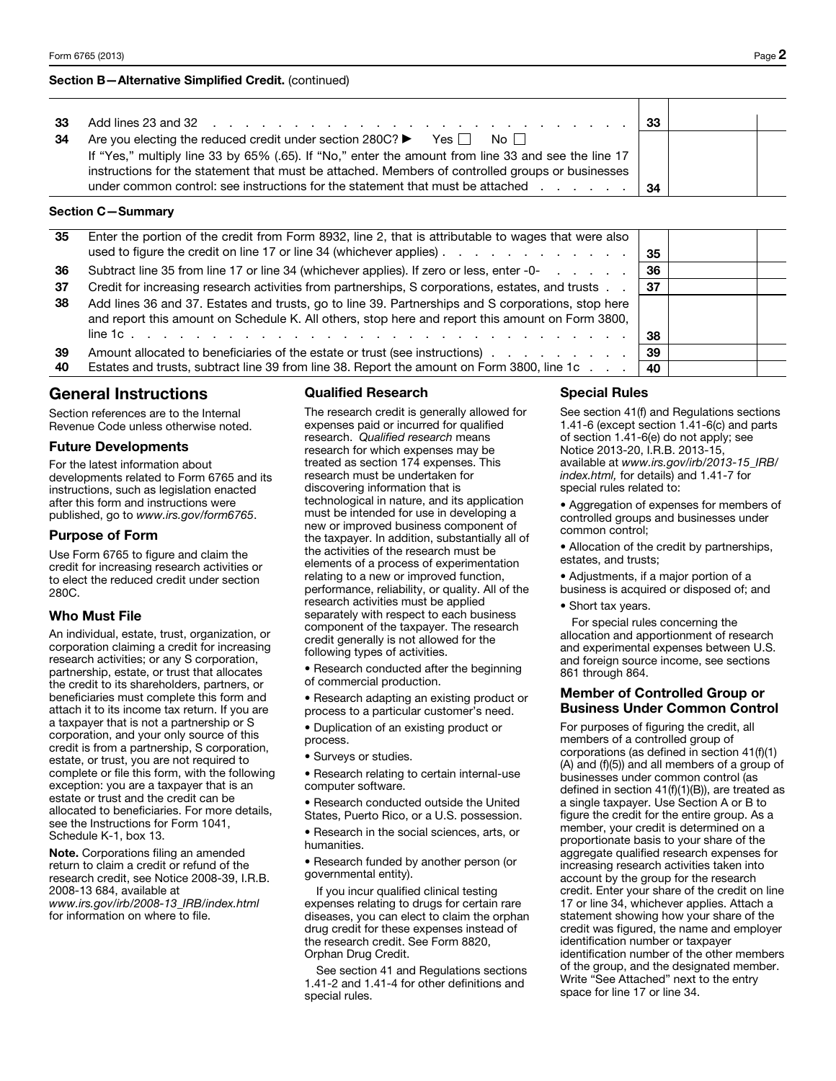#### Section B—Alternative Simplified Credit. (continued)

| 34<br>Are you electing the reduced credit under section 280C? $\blacktriangleright$ Yes $\Box$<br>No II<br>If "Yes," multiply line 33 by 65% (.65). If "No," enter the amount from line 33 and see the line 17 |  |
|----------------------------------------------------------------------------------------------------------------------------------------------------------------------------------------------------------------|--|
| instructions for the statement that must be attached. Members of controlled groups or businesses<br>under common control: see instructions for the statement that must be attached<br>-34                      |  |

### Section C—Summary

| 35  | Enter the portion of the credit from Form 8932, line 2, that is attributable to wages that were also<br>used to figure the credit on line 17 or line 34 (whichever applies)                            | 35  |  |
|-----|--------------------------------------------------------------------------------------------------------------------------------------------------------------------------------------------------------|-----|--|
| 36  | Subtract line 35 from line 17 or line 34 (whichever applies). If zero or less, enter -0-                                                                                                               | 36  |  |
| -37 | Credit for increasing research activities from partnerships, S corporations, estates, and trusts                                                                                                       | -37 |  |
| 38  | Add lines 36 and 37. Estates and trusts, go to line 39. Partnerships and S corporations, stop here<br>and report this amount on Schedule K. All others, stop here and report this amount on Form 3800, |     |  |
|     |                                                                                                                                                                                                        | 38  |  |
| 39  | Amount allocated to beneficiaries of the estate or trust (see instructions) entertainment allocated to beneficiaries of the estate or trust (see instructions)                                         | 39  |  |
| 40  | Estates and trusts, subtract line 39 from line 38. Report the amount on Form 3800, line 1c                                                                                                             | 40  |  |

# General Instructions

Section references are to the Internal Revenue Code unless otherwise noted.

#### Future Developments

For the latest information about developments related to Form 6765 and its instructions, such as legislation enacted after this form and instructions were published, go to *www.irs.gov/form6765*.

## Purpose of Form

Use Form 6765 to figure and claim the credit for increasing research activities or to elect the reduced credit under section 280C.

## Who Must File

An individual, estate, trust, organization, or corporation claiming a credit for increasing research activities; or any S corporation, partnership, estate, or trust that allocates the credit to its shareholders, partners, or beneficiaries must complete this form and attach it to its income tax return. If you are a taxpayer that is not a partnership or S corporation, and your only source of this credit is from a partnership, S corporation, estate, or trust, you are not required to complete or file this form, with the following exception: you are a taxpayer that is an estate or trust and the credit can be allocated to beneficiaries. For more details, see the Instructions for Form 1041, Schedule K-1, box 13.

Note. Corporations filing an amended return to claim a credit or refund of the research credit, see Notice 2008-39, I.R.B. 2008-13 684, available at *www.irs.gov/irb/2008-13\_IRB/index.html* for information on where to file.

# Qualified Research

The research credit is generally allowed for expenses paid or incurred for qualified research. *Qualified research* means research for which expenses may be treated as section 174 expenses. This research must be undertaken for discovering information that is technological in nature, and its application must be intended for use in developing a new or improved business component of the taxpayer. In addition, substantially all of the activities of the research must be elements of a process of experimentation relating to a new or improved function, performance, reliability, or quality. All of the research activities must be applied separately with respect to each business component of the taxpayer. The research credit generally is not allowed for the following types of activities.

- Research conducted after the beginning of commercial production.
- Research adapting an existing product or process to a particular customer's need.
- Duplication of an existing product or process.
- Surveys or studies.
- Research relating to certain internal-use computer software.
- Research conducted outside the United
- States, Puerto Rico, or a U.S. possession.

• Research in the social sciences, arts, or humanities.

• Research funded by another person (or governmental entity).

If you incur qualified clinical testing expenses relating to drugs for certain rare diseases, you can elect to claim the orphan drug credit for these expenses instead of the research credit. See Form 8820, Orphan Drug Credit.

See section 41 and Regulations sections 1.41-2 and 1.41-4 for other definitions and special rules.

# Special Rules

See section 41(f) and Regulations sections 1.41-6 (except section 1.41-6(c) and parts of section 1.41-6(e) do not apply; see Notice 2013-20, I.R.B. 2013-15, available at *www.irs.gov/irb/2013-15\_IRB/ index.html,* for details) and 1.41-7 for special rules related to:

• Aggregation of expenses for members of controlled groups and businesses under common control;

• Allocation of the credit by partnerships, estates, and trusts;

- Adjustments, if a major portion of a
- business is acquired or disposed of; and
- Short tax years.

For special rules concerning the allocation and apportionment of research and experimental expenses between U.S. and foreign source income, see sections 861 through 864.

# Member of Controlled Group or Business Under Common Control

For purposes of figuring the credit, all members of a controlled group of corporations (as defined in section 41(f)(1) (A) and (f)(5)) and all members of a group of businesses under common control (as defined in section 41(f)(1)(B)), are treated as a single taxpayer. Use Section A or B to figure the credit for the entire group. As a member, your credit is determined on a proportionate basis to your share of the aggregate qualified research expenses for increasing research activities taken into account by the group for the research credit. Enter your share of the credit on line 17 or line 34, whichever applies. Attach a statement showing how your share of the credit was figured, the name and employer identification number or taxpayer identification number of the other members of the group, and the designated member. Write "See Attached" next to the entry space for line 17 or line 34.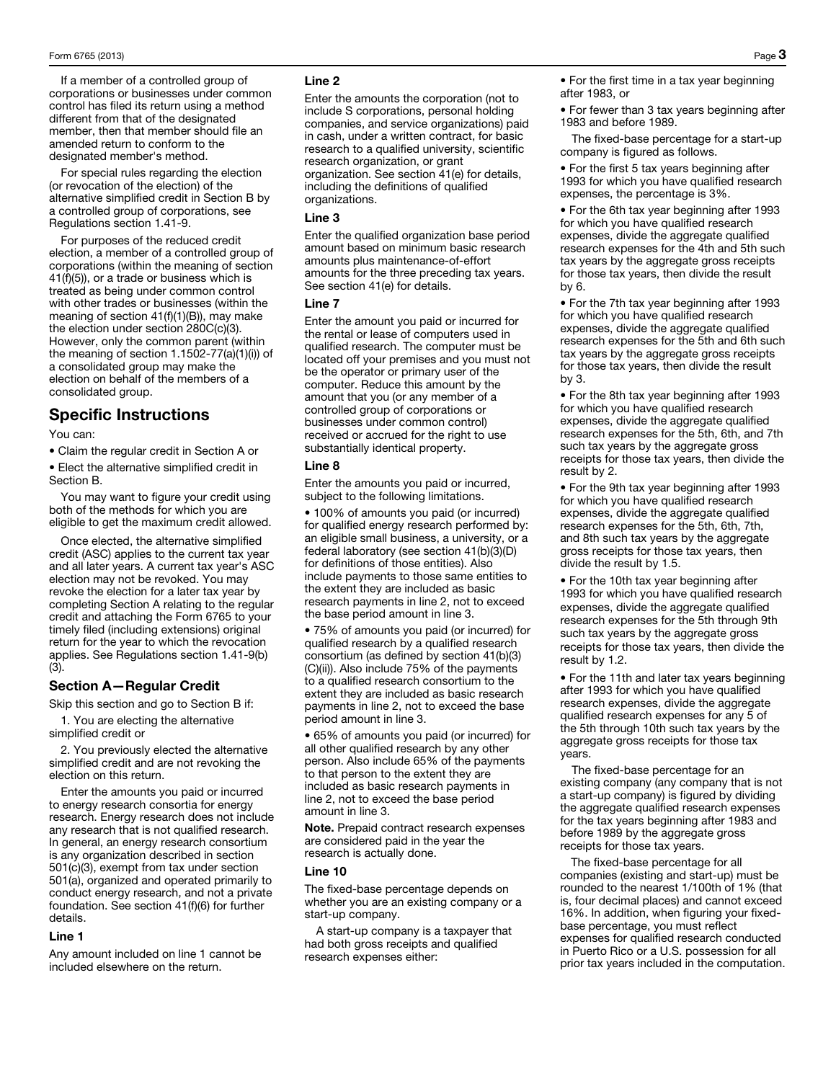If a member of a controlled group of corporations or businesses under common control has filed its return using a method different from that of the designated member, then that member should file an amended return to conform to the designated member's method.

For special rules regarding the election (or revocation of the election) of the alternative simplified credit in Section B by a controlled group of corporations, see Regulations section 1.41-9.

For purposes of the reduced credit election, a member of a controlled group of corporations (within the meaning of section 41(f)(5)), or a trade or business which is treated as being under common control with other trades or businesses (within the meaning of section 41(f)(1)(B)), may make the election under section 280C(c)(3). However, only the common parent (within the meaning of section 1.1502-77(a)(1)(i)) of a consolidated group may make the election on behalf of the members of a consolidated group.

# Specific Instructions

You can:

• Claim the regular credit in Section A or

• Elect the alternative simplified credit in Section B.

You may want to figure your credit using both of the methods for which you are eligible to get the maximum credit allowed.

Once elected, the alternative simplified credit (ASC) applies to the current tax year and all later years. A current tax year's ASC election may not be revoked. You may revoke the election for a later tax year by completing Section A relating to the regular credit and attaching the Form 6765 to your timely filed (including extensions) original return for the year to which the revocation applies. See Regulations section 1.41-9(b) (3).

# Section A—Regular Credit

Skip this section and go to Section B if:

1. You are electing the alternative simplified credit or

2. You previously elected the alternative simplified credit and are not revoking the election on this return.

Enter the amounts you paid or incurred to energy research consortia for energy research. Energy research does not include any research that is not qualified research. In general, an energy research consortium is any organization described in section 501(c)(3), exempt from tax under section 501(a), organized and operated primarily to conduct energy research, and not a private foundation. See section 41(f)(6) for further details.

#### Line 1

Any amount included on line 1 cannot be included elsewhere on the return.

#### Line 2

Enter the amounts the corporation (not to include S corporations, personal holding companies, and service organizations) paid in cash, under a written contract, for basic research to a qualified university, scientific research organization, or grant organization. See section 41(e) for details, including the definitions of qualified organizations.

#### Line 3

Enter the qualified organization base period amount based on minimum basic research amounts plus maintenance-of-effort amounts for the three preceding tax years. See section 41(e) for details.

#### Line 7

Enter the amount you paid or incurred for the rental or lease of computers used in qualified research. The computer must be located off your premises and you must not be the operator or primary user of the computer. Reduce this amount by the amount that you (or any member of a controlled group of corporations or businesses under common control) received or accrued for the right to use substantially identical property.

#### Line 8

Enter the amounts you paid or incurred, subject to the following limitations.

• 100% of amounts you paid (or incurred) for qualified energy research performed by: an eligible small business, a university, or a federal laboratory (see section 41(b)(3)(D) for definitions of those entities). Also include payments to those same entities to the extent they are included as basic research payments in line 2, not to exceed the base period amount in line 3.

• 75% of amounts you paid (or incurred) for qualified research by a qualified research consortium (as defined by section 41(b)(3) (C)(ii)). Also include 75% of the payments to a qualified research consortium to the extent they are included as basic research payments in line 2, not to exceed the base period amount in line 3.

• 65% of amounts you paid (or incurred) for all other qualified research by any other person. Also include 65% of the payments to that person to the extent they are included as basic research payments in line 2, not to exceed the base period amount in line 3.

Note. Prepaid contract research expenses are considered paid in the year the research is actually done.

#### Line 10

The fixed-base percentage depends on whether you are an existing company or a start-up company.

A start-up company is a taxpayer that had both gross receipts and qualified research expenses either:

• For the first time in a tax year beginning after 1983, or

• For fewer than 3 tax years beginning after 1983 and before 1989.

The fixed-base percentage for a start-up company is figured as follows.

• For the first 5 tax years beginning after 1993 for which you have qualified research expenses, the percentage is 3%.

• For the 6th tax year beginning after 1993 for which you have qualified research expenses, divide the aggregate qualified research expenses for the 4th and 5th such tax years by the aggregate gross receipts for those tax years, then divide the result by 6.

• For the 7th tax year beginning after 1993 for which you have qualified research expenses, divide the aggregate qualified research expenses for the 5th and 6th such tax years by the aggregate gross receipts for those tax years, then divide the result by 3.

• For the 8th tax year beginning after 1993 for which you have qualified research expenses, divide the aggregate qualified research expenses for the 5th, 6th, and 7th such tax years by the aggregate gross receipts for those tax years, then divide the result by 2.

• For the 9th tax year beginning after 1993 for which you have qualified research expenses, divide the aggregate qualified research expenses for the 5th, 6th, 7th, and 8th such tax years by the aggregate gross receipts for those tax years, then divide the result by 1.5.

• For the 10th tax year beginning after 1993 for which you have qualified research expenses, divide the aggregate qualified research expenses for the 5th through 9th such tax years by the aggregate gross receipts for those tax years, then divide the result by 1.2.

• For the 11th and later tax years beginning after 1993 for which you have qualified research expenses, divide the aggregate qualified research expenses for any 5 of the 5th through 10th such tax years by the aggregate gross receipts for those tax years.

The fixed-base percentage for an existing company (any company that is not a start-up company) is figured by dividing the aggregate qualified research expenses for the tax years beginning after 1983 and before 1989 by the aggregate gross receipts for those tax years.

The fixed-base percentage for all companies (existing and start-up) must be rounded to the nearest 1/100th of 1% (that is, four decimal places) and cannot exceed 16%. In addition, when figuring your fixedbase percentage, you must reflect expenses for qualified research conducted in Puerto Rico or a U.S. possession for all prior tax years included in the computation.